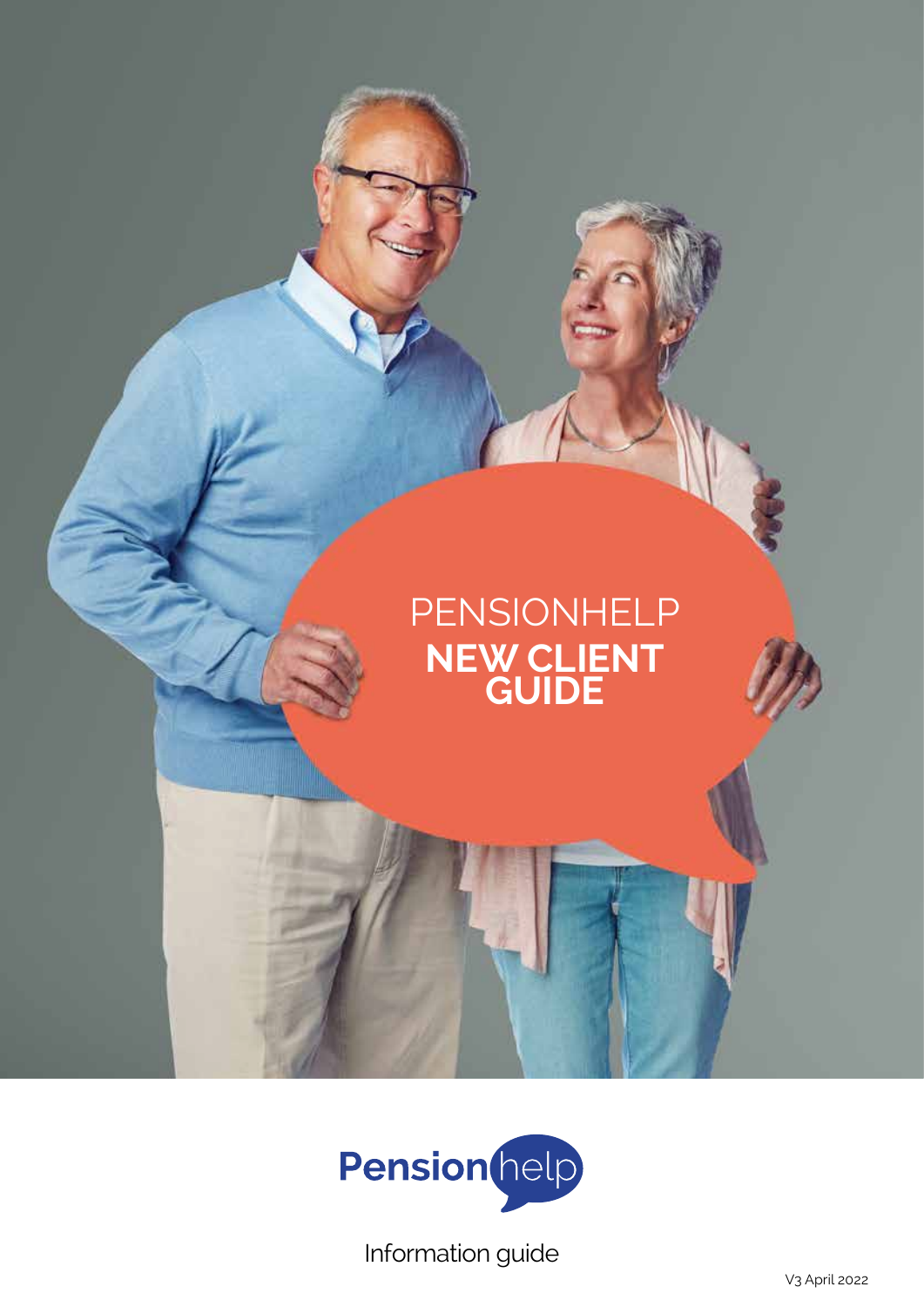



Information guide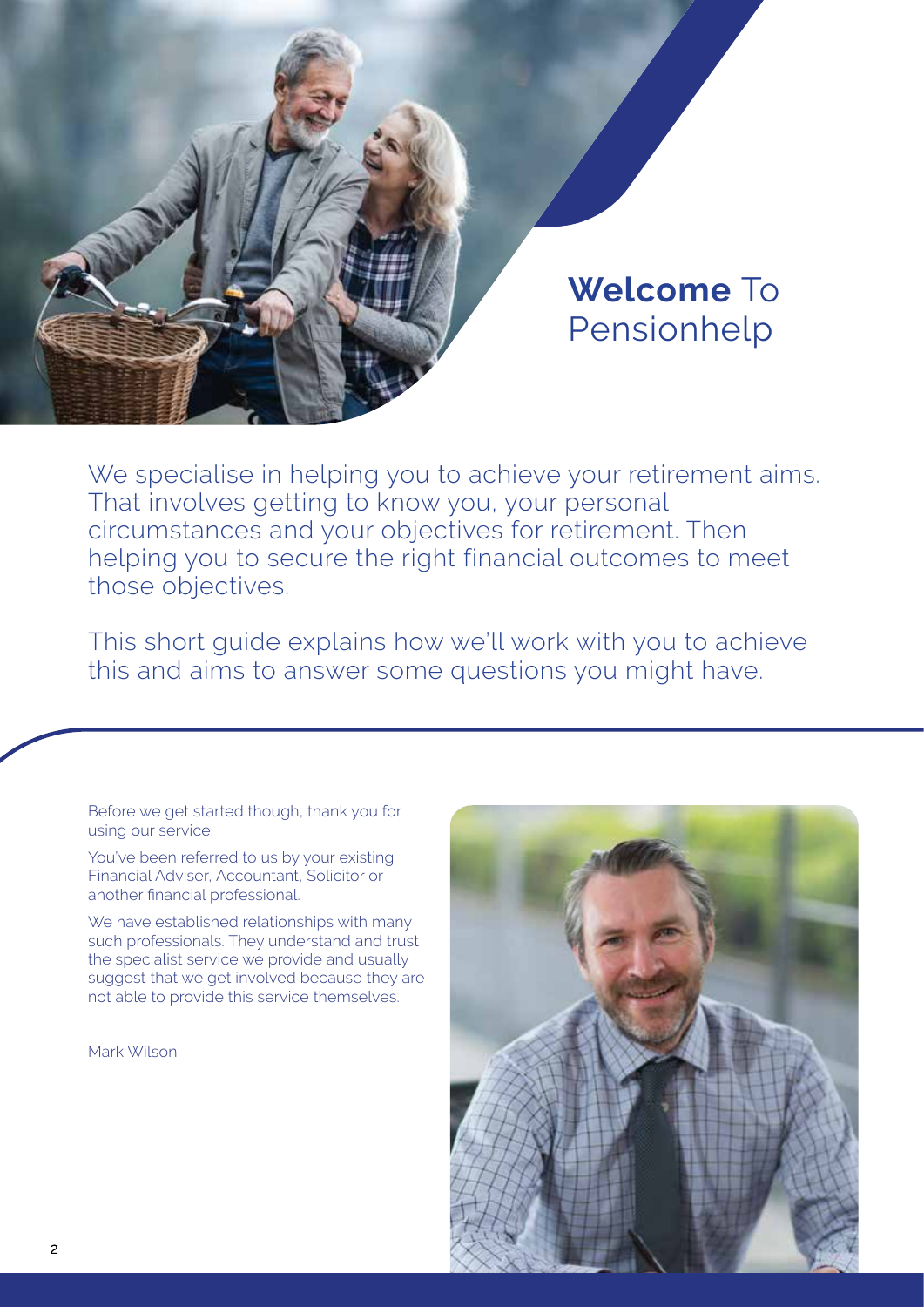

# **Welcome** To Pensionhelp

We specialise in helping you to achieve your retirement aims. That involves getting to know you, your personal circumstances and your objectives for retirement. Then helping you to secure the right financial outcomes to meet those objectives.

This short guide explains how we'll work with you to achieve this and aims to answer some questions you might have.

Before we get started though, thank you for using our service.

You've been referred to us by your existing Financial Adviser, Accountant, Solicitor or another financial professional.

We have established relationships with many such professionals. They understand and trust the specialist service we provide and usually suggest that we get involved because they are not able to provide this service themselves.

Mark Wilson

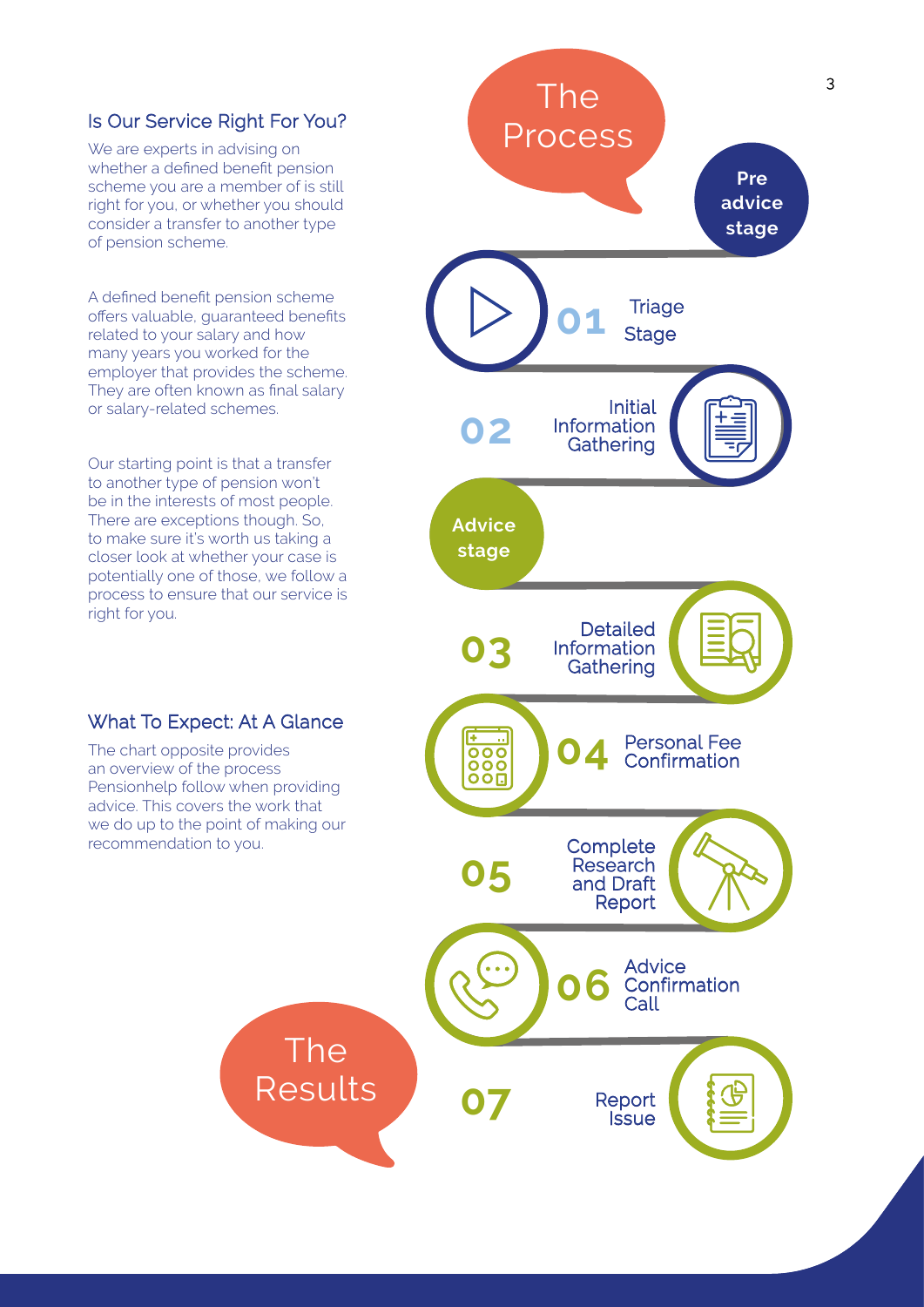### Is Our Service Right For You?

We are experts in advising on whether a defined benefit pension scheme you are a member of is still right for you, or whether you should consider a transfer to another type of pension scheme.

A defined benefit pension scheme offers valuable, guaranteed benefits related to your salary and how many years you worked for the employer that provides the scheme. They are often known as final salary or salary-related schemes.

Our starting point is that a transfer to another type of pension won't be in the interests of most people. There are exceptions though. So, to make sure it's worth us taking a closer look at whether your case is potentially one of those, we follow a process to ensure that our service is right for you.

### What To Expect: At A Glance

The chart opposite provides an overview of the process Pensionhelp follow when providing advice. This covers the work that we do up to the point of making our recommendation to you.

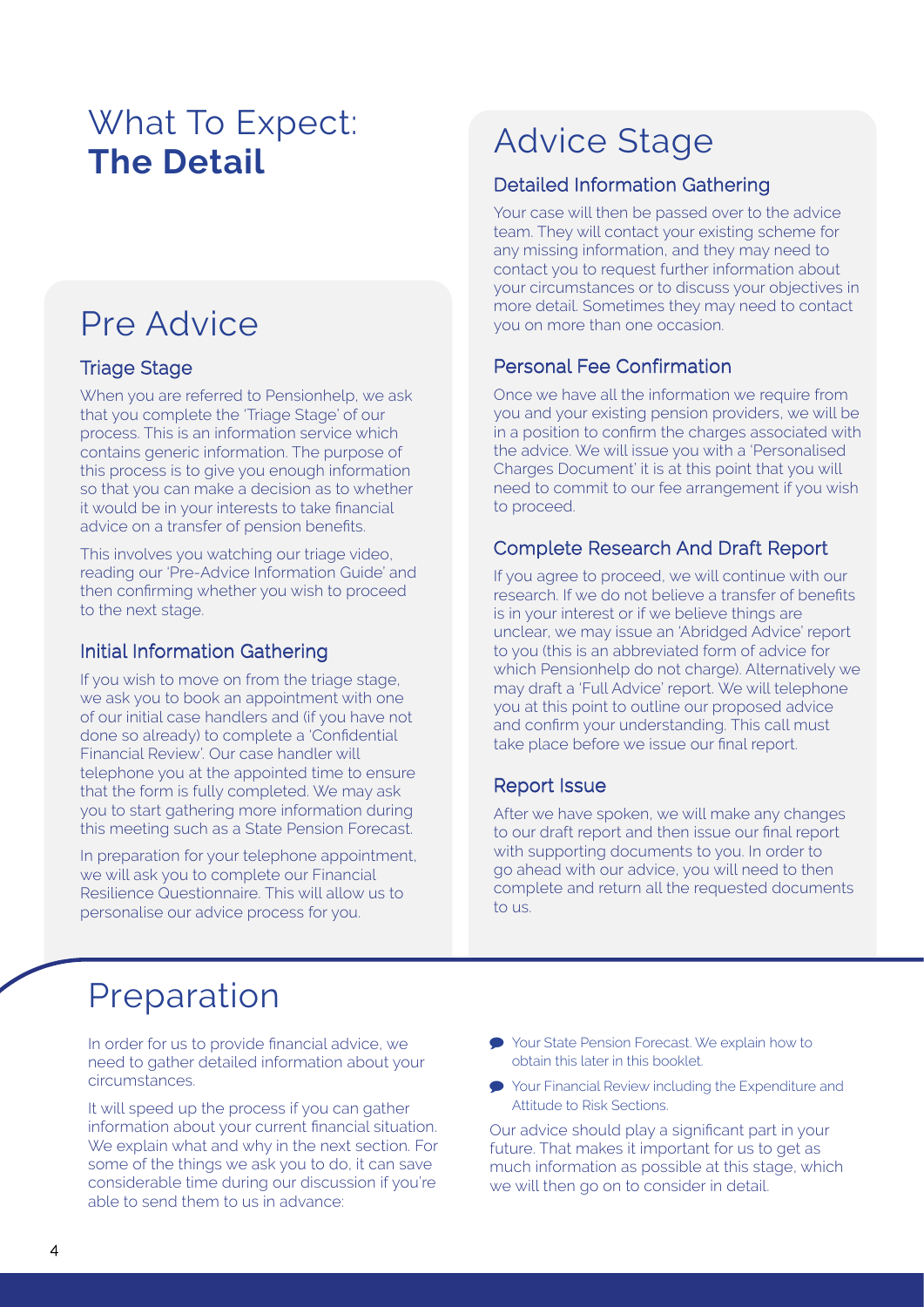# What To Expect: **The Detail**

# Pre Advice

## Triage Stage

When you are referred to Pensionhelp, we ask that you complete the 'Triage Stage' of our process. This is an information service which contains generic information. The purpose of this process is to give you enough information so that you can make a decision as to whether it would be in your interests to take financial advice on a transfer of pension benefits.

This involves you watching our triage video, reading our 'Pre-Advice Information Guide' and then confirming whether you wish to proceed to the next stage.

## Initial Information Gathering

If you wish to move on from the triage stage, we ask you to book an appointment with one of our initial case handlers and (if you have not done so already) to complete a 'Confidential Financial Review'. Our case handler will telephone you at the appointed time to ensure that the form is fully completed. We may ask you to start gathering more information during this meeting such as a State Pension Forecast.

In preparation for your telephone appointment, we will ask you to complete our Financial Resilience Questionnaire. This will allow us to personalise our advice process for you.

# Advice Stage

## Detailed Information Gathering

Your case will then be passed over to the advice team. They will contact your existing scheme for any missing information, and they may need to contact you to request further information about your circumstances or to discuss your objectives in more detail. Sometimes they may need to contact you on more than one occasion.

## Personal Fee Confirmation

Once we have all the information we require from you and your existing pension providers, we will be in a position to confirm the charges associated with the advice. We will issue you with a 'Personalised Charges Document' it is at this point that you will need to commit to our fee arrangement if you wish to proceed.

## Complete Research And Draft Report

If you agree to proceed, we will continue with our research. If we do not believe a transfer of benefits is in your interest or if we believe things are unclear, we may issue an 'Abridged Advice' report to you (this is an abbreviated form of advice for which Pensionhelp do not charge). Alternatively we may draft a 'Full Advice' report. We will telephone you at this point to outline our proposed advice and confirm your understanding. This call must take place before we issue our final report.

## Report Issue

After we have spoken, we will make any changes to our draft report and then issue our final report with supporting documents to you. In order to go ahead with our advice, you will need to then complete and return all the requested documents to us.

## Preparation

In order for us to provide financial advice, we need to gather detailed information about your circumstances.

It will speed up the process if you can gather information about your current financial situation. We explain what and why in the next section. For some of the things we ask you to do, it can save considerable time during our discussion if you're able to send them to us in advance:

- Your State Pension Forecast. We explain how to obtain this later in this booklet.
- Your Financial Review including the Expenditure and Attitude to Risk Sections.

Our advice should play a significant part in your future. That makes it important for us to get as much information as possible at this stage, which we will then go on to consider in detail.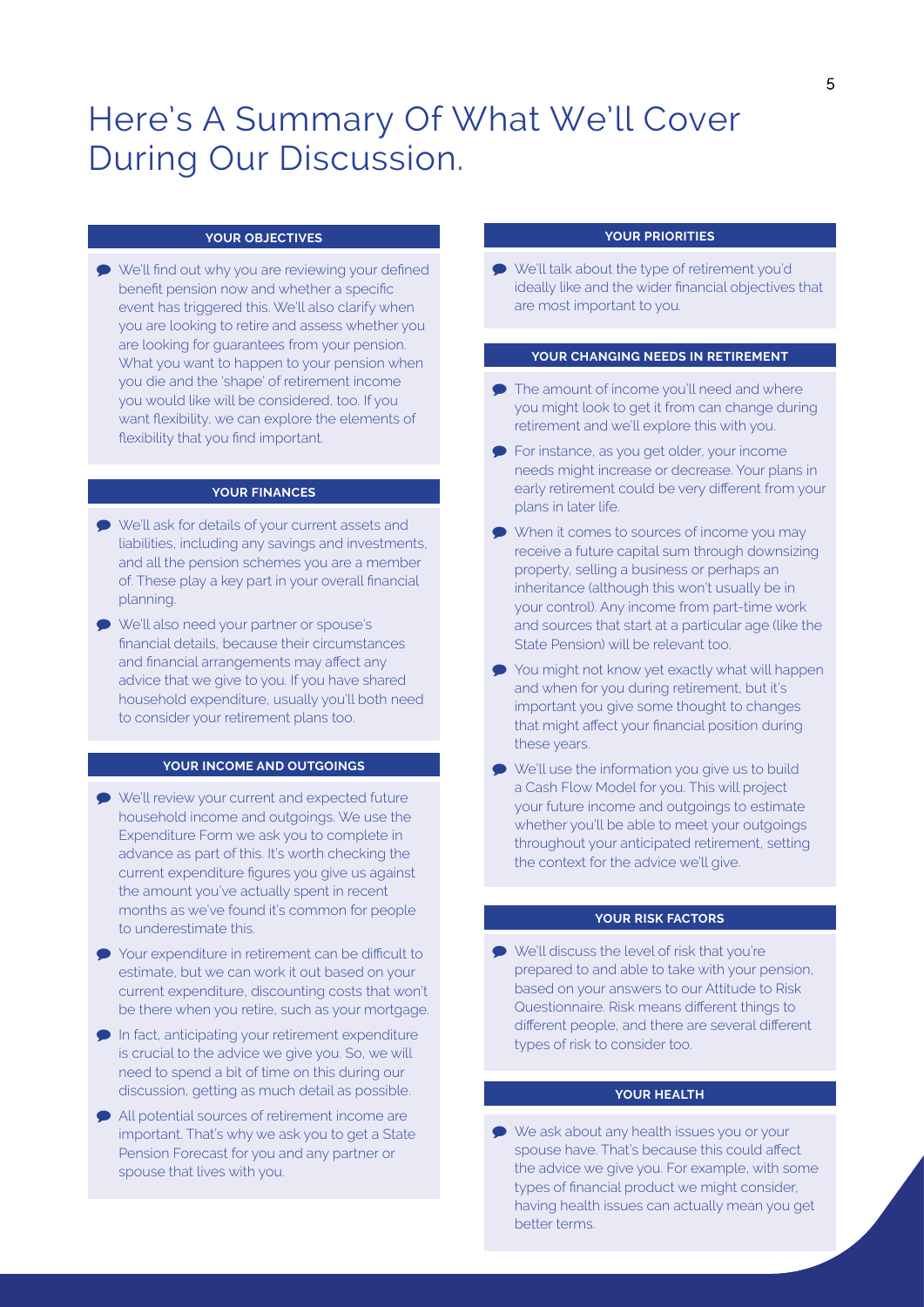## Here's A Summary Of What We'll Cover During Our Discussion.

#### **YOUR OBJECTIVES**

 We'll find out why you are reviewing your defined benefit pension now and whether a specific event has triggered this. We'll also clarify when you are looking to retire and assess whether you are looking for guarantees from your pension. What you want to happen to your pension when you die and the 'shape' of retirement income you would like will be considered, too. If you want flexibility, we can explore the elements of flexibility that you find important.

#### **YOUR FINANCES**

- We'll ask for details of your current assets and liabilities, including any savings and investments, and all the pension schemes you are a member of. These play a key part in your overall financial planning.
- We'll also need your partner or spouse's financial details, because their circumstances and financial arrangements may affect any advice that we give to you. If you have shared household expenditure, usually you'll both need to consider your retirement plans too.

#### **YOUR INCOME AND OUTGOINGS**

- We'll review your current and expected future household income and outgoings. We use the Expenditure Form we ask you to complete in advance as part of this. It's worth checking the current expenditure figures you give us against the amount you've actually spent in recent months as we've found it's common for people to underestimate this.
- Your expenditure in retirement can be difficult to estimate, but we can work it out based on your current expenditure, discounting costs that won't be there when you retire, such as your mortgage.
- In fact, anticipating your retirement expenditure is crucial to the advice we give you. So, we will need to spend a bit of time on this during our discussion, getting as much detail as possible.
- All potential sources of retirement income are important. That's why we ask you to get a State Pension Forecast for you and any partner or spouse that lives with you.

#### **YOUR PRIORITIES**

 We'll talk about the type of retirement you'd ideally like and the wider financial objectives that are most important to you.

#### **YOUR CHANGING NEEDS IN RETIREMENT**

- **●** The amount of income you'll need and where you might look to get it from can change during retirement and we'll explore this with you.
- **•** For instance, as you get older, your income needs might increase or decrease. Your plans in early retirement could be very different from your plans in later life.
- When it comes to sources of income you may receive a future capital sum through downsizing property, selling a business or perhaps an inheritance (although this won't usually be in your control). Any income from part-time work and sources that start at a particular age (like the State Pension) will be relevant too.
- You might not know yet exactly what will happen and when for you during retirement, but it's important you give some thought to changes that might affect your financial position during these years.
- We'll use the information you give us to build a Cash Flow Model for you. This will project your future income and outgoings to estimate whether you'll be able to meet your outgoings throughout your anticipated retirement, setting the context for the advice we'll give.

#### **YOUR RISK FACTORS**

We'll discuss the level of risk that you're prepared to and able to take with your pension, based on your answers to our Attitude to Risk Questionnaire. Risk means different things to different people, and there are several different types of risk to consider too.

#### **YOUR HEALTH**

**■** We ask about any health issues you or your spouse have. That's because this could affect the advice we give you. For example, with some types of financial product we might consider, having health issues can actually mean you get better terms.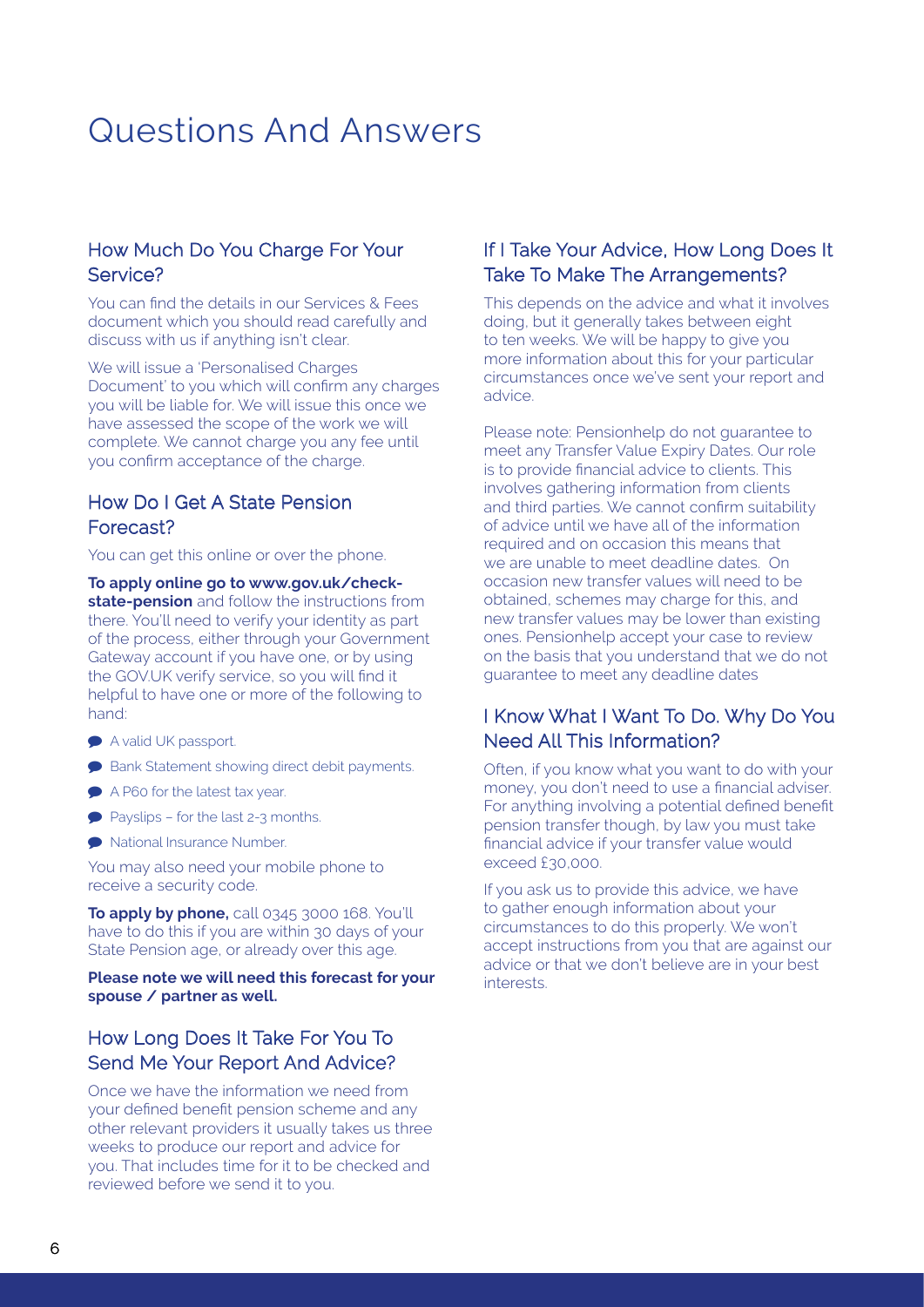## Questions And Answers

### How Much Do You Charge For Your Service?

You can find the details in our Services & Fees document which you should read carefully and discuss with us if anything isn't clear.

We will issue a 'Personalised Charges Document' to you which will confirm any charges you will be liable for. We will issue this once we have assessed the scope of the work we will complete. We cannot charge you any fee until you confirm acceptance of the charge.

## How Do I Get A State Pension Forecast?

You can get this online or over the phone.

**To apply online go to www.gov.uk/checkstate-pension** and follow the instructions from there. You'll need to verify your identity as part of the process, either through your Government Gateway account if you have one, or by using the GOV.UK verify service, so you will find it helpful to have one or more of the following to hand:

- A valid UK passport.
- **Bank Statement showing direct debit payments.**
- A P60 for the latest tax year.
- Payslips for the last 2-3 months.
- National Insurance Number.

You may also need your mobile phone to receive a security code.

**To apply by phone,** call 0345 3000 168. You'll have to do this if you are within 30 days of your State Pension age, or already over this age.

#### **Please note we will need this forecast for your spouse / partner as well.**

## How Long Does It Take For You To Send Me Your Report And Advice?

Once we have the information we need from your defined benefit pension scheme and any other relevant providers it usually takes us three weeks to produce our report and advice for you. That includes time for it to be checked and reviewed before we send it to you.

### If I Take Your Advice, How Long Does It Take To Make The Arrangements?

This depends on the advice and what it involves doing, but it generally takes between eight to ten weeks. We will be happy to give you more information about this for your particular circumstances once we've sent your report and advice.

Please note: Pensionhelp do not guarantee to meet any Transfer Value Expiry Dates. Our role is to provide financial advice to clients. This involves gathering information from clients and third parties. We cannot confirm suitability of advice until we have all of the information required and on occasion this means that we are unable to meet deadline dates. On occasion new transfer values will need to be obtained, schemes may charge for this, and new transfer values may be lower than existing ones. Pensionhelp accept your case to review on the basis that you understand that we do not guarantee to meet any deadline dates

### I Know What I Want To Do. Why Do You Need All This Information?

Often, if you know what you want to do with your money, you don't need to use a financial adviser. For anything involving a potential defined benefit pension transfer though, by law you must take financial advice if your transfer value would exceed £30,000.

If you ask us to provide this advice, we have to gather enough information about your circumstances to do this properly. We won't accept instructions from you that are against our advice or that we don't believe are in your best interests.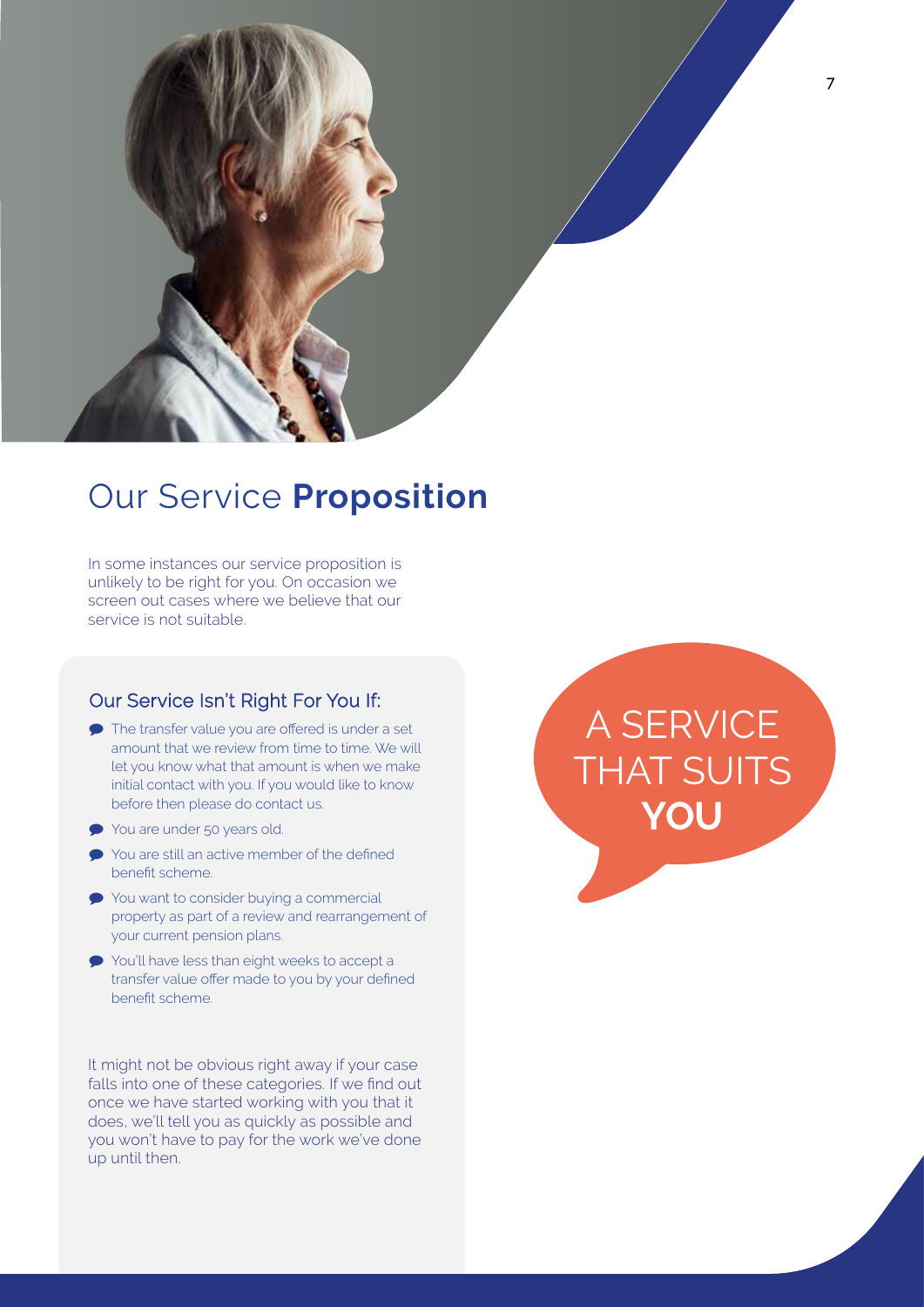

## Our Service **Proposition**

In some instances our service proposition is unlikely to be right for you. On occasion we screen out cases where we believe that our service is not suitable.

## Our Service Isn't Right For You If:

- The transfer value you are offered is under a set amount that we review from time to time. We will let you know what that amount is when we make initial contact with you. If you would like to know before then please do contact us.
- You are under 50 years old.
- You are still an active member of the defined benefit scheme.
- **●** You want to consider buying a commercial property as part of a review and rearrangement of your current pension plans.
- You'll have less than eight weeks to accept a transfer value offer made to you by your defined benefit scheme.

It might not be obvious right away if your case falls into one of these categories. If we find out once we have started working with you that it does, we'll tell you as quickly as possible and you won't have to pay for the work we've done up until then.

A SERVICE THAT SUITS **YOU**